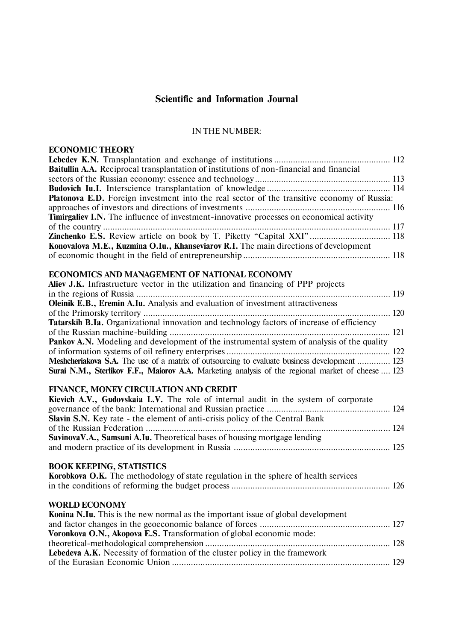# **Scientific and Information Journal**

## IN THE NUMBER:

## **ECONOMIC THEORY**

| <b>Baitullin A.A.</b> Reciprocal transplantation of institutions of non-financial and financial    |  |
|----------------------------------------------------------------------------------------------------|--|
|                                                                                                    |  |
|                                                                                                    |  |
| <b>Platonova E.D.</b> Foreign investment into the real sector of the transitive economy of Russia: |  |
|                                                                                                    |  |
| <b>Timirgaliev I.N.</b> The influence of investment-innovative processes on economical activity    |  |
|                                                                                                    |  |
| <b>Zinchenko E.S.</b> Review article on book by T. Piketty "Capital XXI" 118                       |  |
| Konovalova M.E., Kuzmina O.Iu., Khanseviarov R.I. The main directions of development               |  |
|                                                                                                    |  |
|                                                                                                    |  |

## **ECONOMICS AND MANAGEMENT OF NATIONAL ECONOMY**

| Aliev J.K. Infrastructure vector in the utilization and financing of PPP projects                   |  |
|-----------------------------------------------------------------------------------------------------|--|
|                                                                                                     |  |
| Oleinik E.B., Eremin A.Iu. Analysis and evaluation of investment attractiveness                     |  |
|                                                                                                     |  |
| <b>Tatarskih B.Ia.</b> Organizational innovation and technology factors of increase of efficiency   |  |
|                                                                                                     |  |
| <b>Pankov A.N.</b> Modeling and development of the instrumental system of analysis of the quality   |  |
|                                                                                                     |  |
| <b>Meshcheriakova S.A.</b> The use of a matrix of outsourcing to evaluate business development  123 |  |
| Surai N.M., Sterlikov F.F., Maiorov A.A. Marketing analysis of the regional market of cheese  123   |  |

## **FINANCE, MONEY CIRCULATION AND CREDIT**

| Kievich A.V., Gudovskaia L.V. The role of internal audit in the system of corporate |  |
|-------------------------------------------------------------------------------------|--|
|                                                                                     |  |
| <b>Slavin S.N.</b> Key rate - the element of anti-crisis policy of the Central Bank |  |
|                                                                                     |  |
| Savinova V.A., Samsuni A.Iu. Theoretical bases of housing mortgage lending          |  |
|                                                                                     |  |
|                                                                                     |  |

# **BOOK KEEPING, STATISTICS**

| Korobkova O.K. The methodology of state regulation in the sphere of health services |  |
|-------------------------------------------------------------------------------------|--|
|                                                                                     |  |

## **WORLD ECONOMY**

| <b>Konina N.Iu.</b> This is the new normal as the important issue of global development |  |
|-----------------------------------------------------------------------------------------|--|
|                                                                                         |  |
| Voronkova O.N., Akopova E.S. Transformation of global economic mode:                    |  |
|                                                                                         |  |
| <b>Lebedeva A.K.</b> Necessity of formation of the cluster policy in the framework      |  |
|                                                                                         |  |
|                                                                                         |  |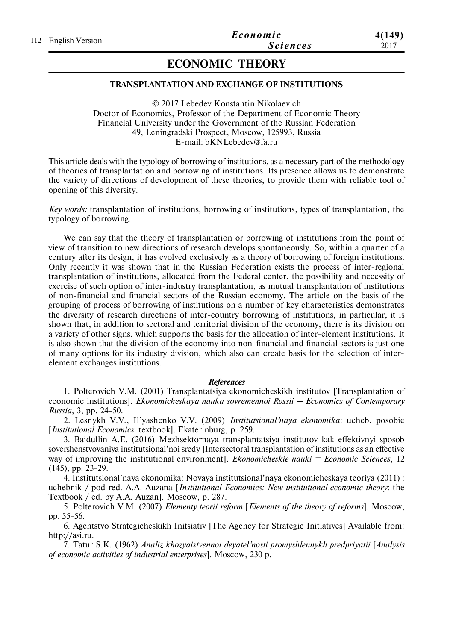# **ECONOMIC THEORY**

### **TRANSPLANTATION AND EXCHANGE OF INSTITUTIONS**

© 2017 Lebedev Konstantin Nikolaevich Doctor of Economics, Professor of the Department of Economic Theory Financial University under the Government of the Russian Federation 49, Leningradski Prospect, Moscow, 125993, Russia E-mail: bKNLebedev@fa.ru

This article deals with the typology of borrowing of institutions, as a necessary part of the methodology of theories of transplantation and borrowing of institutions. Its presence allows us to demonstrate the variety of directions of development of these theories, to provide them with reliable tool of opening of this diversity.

*Key words:* transplantation of institutions, borrowing of institutions, types of transplantation, the typology of borrowing.

We can say that the theory of transplantation or borrowing of institutions from the point of view of transition to new directions of research develops spontaneously. So, within a quarter of a century after its design, it has evolved exclusively as a theory of borrowing of foreign institutions. Only recently it was shown that in the Russian Federation exists the process of inter-regional transplantation of institutions, allocated from the Federal center, the possibility and necessity of exercise of such option of inter-industry transplantation, as mutual transplantation of institutions of non-financial and financial sectors of the Russian economy. The article on the basis of the grouping of process of borrowing of institutions on a number of key characteristics demonstrates the diversity of research directions of inter-country borrowing of institutions, in particular, it is shown that, in addition to sectoral and territorial division of the economy, there is its division on a variety of other signs, which supports the basis for the allocation of inter-element institutions. It is also shown that the division of the economy into non-financial and financial sectors is just one of many options for its industry division, which also can create basis for the selection of interelement exchanges institutions.

#### *References*

1. Polterovich V.M. (2001) Transplantatsiya ekonomicheskikh institutov [Transplantation of economic institutions]. *Ekonomicheskaya nauka sovremennoi Rossii = Economics of Contemporary Russia*, 3, pp. 24-50.

2. Lesnykh V.V., Il'yashenko V.V. (2009) *Institutsional'naya ekonomika*: ucheb. posobie [*Institutional Economics*: textbook]. Ekaterinburg, p. 259.

3. Baidullin A.E. (2016) Mezhsektornaya transplantatsiya institutov kak effektivnyi sposob sovershenstvovaniya institutsional'noi sredy [Intersectoral transplantation of institutions as an effective way of improving the institutional environment]. *Ekonomicheskie nauki = Economic Sciences*, 12 (145), pp. 23-29.

4. Institutsional'naya ekonomika: Novaya institutsional'naya ekonomicheskaya teoriya (2011) : uchebnik / pod red. A.A. Auzana [*Institutional Economics: New institutional economic theory*: the Textbook / ed. by A.A. Auzan]. Moscow, p. 287.

5. Polterovich V.M. (2007) *Elementy teorii reform* [*Elements of the theory of reforms*]. Moscow, pp. 55-56.

6. Agentstvo Strategicheskikh Initsiativ [The Agency for Strategic Initiatives] Available from: http://asi.ru.

7. Tatur S.K. (1962) *Analiz khozyaistvennoi deyatel'nosti promyshlennykh predpriyatii* [*Analysis of economic activities of industrial enterprises*]. Moscow, 230 p.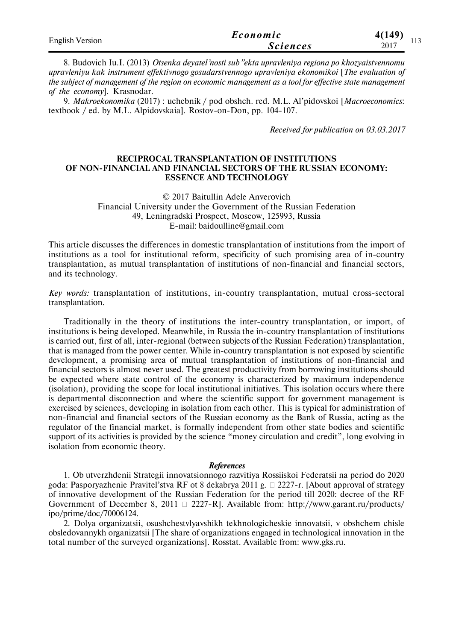| <b>English Version</b> | Economic        | 4(149)      |
|------------------------|-----------------|-------------|
|                        | <b>Sciences</b> | 113<br>2017 |

8. Budovich Iu.I. (2013) *Otsenka deyatel'nosti sub"ekta upravleniya regiona po khozyaistvennomu upravleniyu kak instrument effektivnogo gosudarstvennogo upravleniya ekonomikoi* [*The evaluation of the subject of management of the region on economic management as a tool for effective state management of the economy*]. Krasnodar.

9. *Makroekonomika* (2017) : uchebnik / pod obshch. red. M.L. Al'pidovskoi [*Macroeconomics*: textbook / ed. by M.L. Alpidovskaia]. Rostov-on-Don, pp. 104-107.

*Received for publication on 03.03.2017*

### **RECIPROCAL TRANSPLANTATION OF INSTITUTIONS OF NON-FINANCIAL AND FINANCIAL SECTORS OF THE RUSSIAN ECONOMY: ESSENCE AND TECHNOLOGY**

© 2017 Baitullin Adele Anverovich Financial University under the Government of the Russian Federation 49, Leningradski Prospect, Moscow, 125993, Russia E-mail: baidoulline@gmail.com

This article discusses the differences in domestic transplantation of institutions from the import of institutions as a tool for institutional reform, specificity of such promising area of in-country transplantation, as mutual transplantation of institutions of non-financial and financial sectors, and its technology.

*Key words:* transplantation of institutions, in-country transplantation, mutual cross-sectoral transplantation.

Traditionally in the theory of institutions the inter-country transplantation, or import, of institutions is being developed. Meanwhile, in Russia the in-country transplantation of institutions is carried out, first of all, inter-regional (between subjects of the Russian Federation) transplantation, that is managed from the power center. While in-country transplantation is not exposed by scientific development, a promising area of mutual transplantation of institutions of non-financial and financial sectors is almost never used. The greatest productivity from borrowing institutions should be expected where state control of the economy is characterized by maximum independence (isolation), providing the scope for local institutional initiatives. This isolation occurs where there is departmental disconnection and where the scientific support for government management is exercised by sciences, developing in isolation from each other. This is typical for administration of non-financial and financial sectors of the Russian economy as the Bank of Russia, acting as the regulator of the financial market, is formally independent from other state bodies and scientific support of its activities is provided by the science "money circulation and credit", long evolving in isolation from economic theory.

#### *References*

1. Ob utverzhdenii Strategii innovatsionnogo razvitiya Rossiiskoi Federatsii na period do 2020 goda: Pasporyazhenie Pravitel'stva RF ot 8 dekabrya 2011 g.  $\Box$  2227-r. [About approval of strategy of innovative development of the Russian Federation for the period till 2020: decree of the RF Government of December 8, 2011  $\Box$  2227-R]. Available from: http://www.garant.ru/products/ ipo/prime/doc/70006124.

2. Dolya organizatsii, osushchestvlyavshikh tekhnologicheskie innovatsii, v obshchem chisle obsledovannykh organizatsii [The share of organizations engaged in technological innovation in the total number of the surveyed organizations]. Rosstat. Available from: www.gks.ru.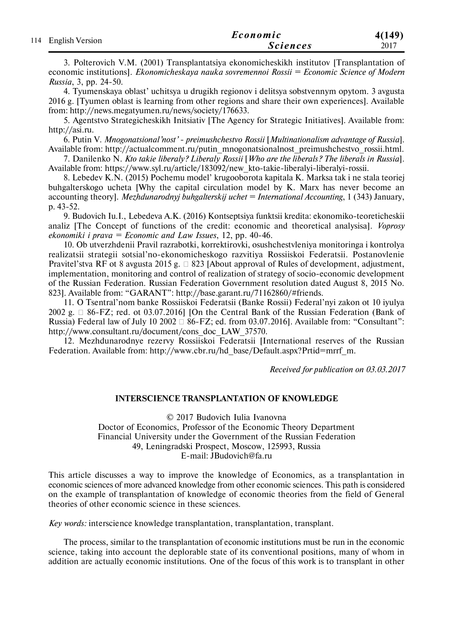| 114 English Version | Economic        | 4(149) |
|---------------------|-----------------|--------|
|                     | <i>Sciences</i> | 2017   |

3. Polterovich V.M. (2001) Transplantatsiya ekonomicheskikh institutov [Transplantation of economic institutions]. *Ekonomicheskaya nauka sovremennoi Rossii = Economic Science of Modern Russia*, 3, pp. 24-50.

4. Tyumenskaya oblast' uchitsya u drugikh regionov i delitsya sobstvennym opytom. 3 avgusta 2016 g. [Tyumen oblast is learning from other regions and share their own experiences]. Available from: http://news.megatyumen.ru/news/society/176633.

5. Agentstvo Strategicheskikh Initsiativ [The Agency for Strategic Initiatives]. Available from: http://asi.ru.

6. Putin V. *Mnogonatsional'nost' - preimushchestvo Rossii* [*Multinationalism advantage of Russia*]. Available from: http://actualcomment.ru/putin\_mnogonatsionalnost\_preimushchestvo\_rossii.html.

7. Danilenko N. *Kto takie liberaly? Liberaly Rossii* [*Who are the liberals? The liberals in Russia*]. Available from: https://www.syl.ru/article/183092/new\_kto-takie-liberalyi-liberalyi-rossii.

8. Lebedev K.N. (2015) Pochemu model' krugooborota kapitala K. Marksa tak i ne stala teoriej buhgalterskogo ucheta [Why the capital circulation model by K. Marx has never become an accounting theory]. *Mezhdunarodnyj buhgalterskij uchet = International Accounting*, 1 (343) January, p. 43-52.

9. Budovich Iu.I., Lebedeva A.K. (2016) Kontseptsiya funktsii kredita: ekonomiko-teoreticheskii analiz [The Concept of functions of the credit: economic and theoretical analysisa]. *Voprosy ekonomiki i prava = Economic and Law Issues*, 12, рр. 40-46.

10. Ob utverzhdenii Pravil razrabotki, korrektirovki, osushchestvleniya monitoringa i kontrolya realizatsii strategii sotsial'no-ekonomicheskogo razvitiya Rossiiskoi Federatsii. Postanovlenie Pravitel'stva RF ot 8 avgusta 2015 g.  $\Box$  823 [About approval of Rules of development, adjustment, implementation, monitoring and control of realization of strategy of socio-economic development of the Russian Federation. Russian Federation Government resolution dated August 8, 2015 No. 823]. Available from: "GARANT": http://base.garant.ru/71162860/#friends.

11. O Tsentral'nom banke Rossiiskoi Federatsii (Banke Rossii) Federal'nyi zakon ot 10 iyulya 2002 g.  $\Box$  86-FZ; red. ot 03.07.2016] [On the Central Bank of the Russian Federation (Bank of Russia) Federal law of July 10 2002  $\Box$  86-FZ; ed. from 03.07.2016]. Available from: "Consultant": http://www.consultant.ru/document/cons\_doc\_LAW\_37570.

12. Mezhdunarodnye rezervy Rossiiskoi Federatsii [International reserves of the Russian Federation. Available from: http://www.cbr.ru/hd\_base/Default.aspx?Prtid=mrrf\_m.

*Received for publication on 03.03.2017*

### **INTERSCIENCE TRANSPLANTATION OF KNOWLEDGE**

© 2017 Budovich Iulia Ivanovna

Doctor of Economics, Professor of the Economic Theory Department Financial University under the Government of the Russian Federation 49, Leningradski Prospect, Moscow, 125993, Russia E-mail: JBudovich@fa.ru

This article discusses a way to improve the knowledge of Economics, as a transplantation in economic sciences of more advanced knowledge from other economic sciences. This path is considered on the example of transplantation of knowledge of economic theories from the field of General theories of other economic science in these sciences.

*Key words:* interscience knowledge transplantation, transplantation, transplant.

The process, similar to the transplantation of economic institutions must be run in the economic science, taking into account the deplorable state of its conventional positions, many of whom in addition are actually economic institutions. One of the focus of this work is to transplant in other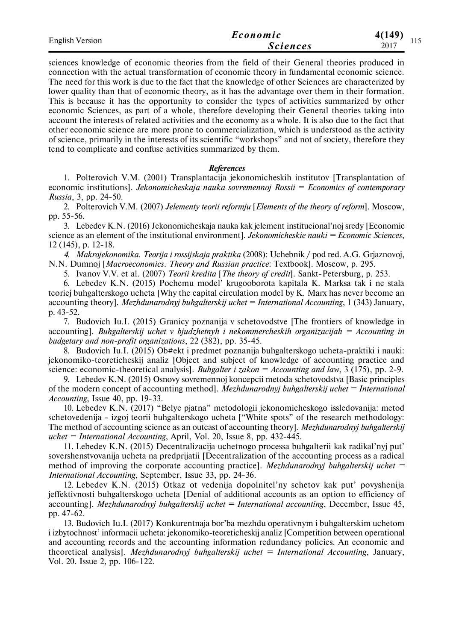| <b>English Version</b> | Economic        | 4(149)      |
|------------------------|-----------------|-------------|
|                        | <b>Sciences</b> | 11J<br>2017 |

sciences knowledge of economic theories from the field of their General theories produced in connection with the actual transformation of economic theory in fundamental economic science. The need for this work is due to the fact that the knowledge of other Sciences are characterized by lower quality than that of economic theory, as it has the advantage over them in their formation. This is because it has the opportunity to consider the types of activities summarized by other economic Sciences, as part of a whole, therefore developing their General theories taking into account the interests of related activities and the economy as a whole. It is also due to the fact that other economic science are more prone to commercialization, which is understood as the activity of science, primarily in the interests of its scientific "workshops" and not of society, therefore they tend to complicate and confuse activities summarized by them.

#### *References*

1. Polterovich V.M. (2001) Transplantacija jekonomicheskih institutov [Transplantation of economic institutions]. *Jekonomicheskaja nauka sovremennoj Rossii = Economics of contemporary Russia*, 3, рр. 24-50.

2. Polterovich V.M. (2007) *Jelementy teorii reformju* [*Elements of the theory of reform*]. Moscow, рр. 55-56.

3. Lebedev K.N. (2016) Jekonomicheskaja nauka kak jelement institucional'noj sredy [Economic science as an element of the institutional environment]. *Jekonomicheskie nauki = Economic Sciences*, 12 (145), p. 12-18.

*4. Makrojekonomika. Teorija i rossijskaja praktika* (2008): Uchebnik / pod red. A.G. Grjaznovoj, N.N. Dumnoj [*Macroeconomics. Theory and Russian practice*: Textbook]. Moscow, p. 295.

5. Ivanov V.V. et al. (2007) *Teorii kredita* [*The theory of credit*]. Sankt-Petersburg, p. 253.

6. Lebedev K.N. (2015) Pochemu model' krugooborota kapitala K. Marksa tak i ne stala teoriej buhgalterskogo ucheta [Why the capital circulation model by K. Marx has never become an accounting theory]. *Mezhdunarodnyj buhgalterskij uchet = International Accounting*, 1 (343) January, p. 43-52.

7. Budovich Iu.I. (2015) Granicy poznanija v schetovodstve [The frontiers of knowledge in accounting]. *Buhgalterskij uchet v bjudzhetnyh i nekommercheskih organizacijah = Accounting in budgetary and non-profit organizations*, 22 (382), pp. 35-45.

8. Budovich Iu.I. (2015) Ob#ekt i predmet poznanija buhgalterskogo ucheta-praktiki i nauki: jekonomiko-teoreticheskij analiz [Object and subject of knowledge of accounting practice and science: economic-theoretical analysis]. *Buhgalter i zakon = Accounting and law*, 3 (175), pp. 2-9.

9. Lebedev K.N. (2015) Osnovy sovremennoj koncepcii metoda schetovodstva [Basic principles of the modern concept of accounting method]. *Mezhdunarodnyj buhgalterskij uchet = International Accounting*, Issue 40, pр. 19-33.

10. Lebedev K.N. (2017) "Belye pjatna" metodologii jekonomicheskogo issledovanija: metod schetovedenija - izgoj teorii buhgalterskogo ucheta ["White spots" of the research methodology: The method of accounting science as an outcast of accounting theory]. *Mezhdunarodnyj buhgalterskij uchet = International Accounting*, April, Vol. 20, Issue 8, pp. 432-445.

11. Lebedev K.N. (2015) Decentralizacija uchetnogo processa buhgalterii kak radikal'nyj put' sovershenstvovanija ucheta na predprijatii [Decentralization of the accounting process as a radical method of improving the corporate accounting practice]. *Mezhdunarodnyj buhgalterskij uchet = International Accounting*, September, Issue 33, pp. 24-36.

12. Lebedev K.N. (2015) Otkaz ot vedenija dopolnitel'ny schetov kak put' povyshenija jeffektivnosti buhgalterskogo ucheta [Denial of additional accounts as an option to efficiency of accounting]. *Mezhdunarodnyj buhgalterskij uchet = International accounting*, December, Issue 45, pp. 47-62.

13. Budovich Iu.I. (2017) Konkurentnaja bor'ba mezhdu operativnym i buhgalterskim uchetom i izbytochnost' informacii ucheta: jekonomiko-teoreticheskij analiz [Competition between operational and accounting records and the accounting information redundancy policies. An economic and theoretical analysis]. *Mezhdunarodnyj buhgalterskij uchet = International Accounting*, January, Vol. 20. Issue 2, pp. 106-122.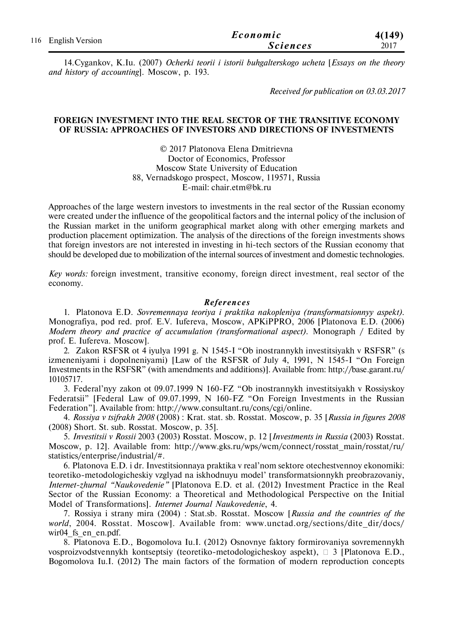| 116 English Version | Economic        | 4(149) |
|---------------------|-----------------|--------|
|                     | <b>Sciences</b> | 2017   |

14.Cygankov, K.Iu. (2007) *Ocherki teorii i istorii buhgalterskogo ucheta* [*Essays on the theory and history of accounting*]. Moscow, р. 193.

*Received for publication on 03.03.2017*

### **FOREIGN INVESTMENT INTO THE REAL SECTOR OF THE TRANSITIVE ECONOMY OF RUSSIA: APPROACHES OF INVESTORS AND DIRECTIONS OF INVESTMENTS**

© 2017 Platonova Elena Dmitrievna Doctor of Economics, Professor Moscow State University of Education 88, Vernadskogo prospect, Moscow, 119571, Russia E-mail: chair.etm@bk.ru

Approaches of the large western investors to investments in the real sector of the Russian economy were created under the influence of the geopolitical factors and the internal policy of the inclusion of the Russian market in the uniform geographical market along with other emerging markets and production placement optimization. The analysis of the directions of the foreign investments shows that foreign investors are not interested in investing in hi-tech sectors of the Russian economy that should be developed due to mobilization of the internal sources of investment and domestic technologies.

*Key words:* foreign investment, transitive economy, foreign direct investment, real sector of the economy.

#### $References$

1. Platonova E.D. *Sovremennaya teoriya i praktika nakopleniya (transformatsionnyy aspekt).* Monografiya, pod red. prof. E.V. Iufereva, Moscow, APKiPPRO, 2006 [Platonova E.D. (2006) *Modern theory and practice of accumulation (transformational aspect).* Monograph / Edited by prof. E. Iufereva. Moscow].

2. Zakon RSFSR ot 4 iyulya 1991 g. N 1545-I "Ob inostrannykh investitsiyakh v RSFSR" (s izmeneniyami i dopolneniyami) [Law of the RSFSR of July 4, 1991, N 1545-I "On Foreign Investments in the RSFSR" (with amendments and additions)]. Available from: http://base.garant.ru/ 10105717.

3. Federal'nyy zakon ot 09.07.1999 N 160-FZ "Ob inostrannykh investitsiyakh v Rossiyskoy Federatsii" [Federal Law of 09.07.1999, N 160-FZ "On Foreign Investments in the Russian Federation"]. Available from: http://www.consultant.ru/cons/cgi/online.

4. *Rossiya v tsifrakh 2008* (2008) : Krat. stat. sb. Rosstat. Moscow, p. 35 [*Russia in figures 2008* (2008) Short. St. sub. Rosstat. Moscow, p. 35].

5. *Investitsii v Rossii* 2003 (2003) Rosstat. Moscow, p. 12 [*Investments in Russia* (2003) Rosstat. Moscow, p. 12]. Available from: http://www.gks.ru/wps/wcm/connect/rosstat\_main/rosstat/ru/ statistics/enterprise/industrial/#.

6. Platonova E.D. i dr. Investitsionnaya praktika v real'nom sektore otechestvennoy ekonomiki: teoretiko-metodologicheskiy vzglyad na iskhodnuyu model' transformatsionnykh preobrazovaniy, *Internet-zhurnal "Naukovedenie"* [Platonova E.D. et al. (2012) Investment Practice in the Real Sector of the Russian Economy: a Theoretical and Methodological Perspective on the Initial Model of Transformations]. *Internet Journal Naukovedenie*, 4.

7. Rossiya i strany mira (2004) : Stat.sb. Rosstat. Moscow [*Russia and the countries of the world*, 2004. Rosstat. Moscow]. Available from: www.unctad.org/sections/dite dir/docs/ wir04 fs en en.pdf.

8. Platonova E.D., Bogomolova Iu.I. (2012) Osnovnye faktory formirovaniya sovremennykh vosproizvodstvennykh kontseptsiy (teoretiko-metodologicheskoy aspekt),  $\Box$  3 [Platonova E.D., Bogomolova Iu.I. (2012) The main factors of the formation of modern reproduction concepts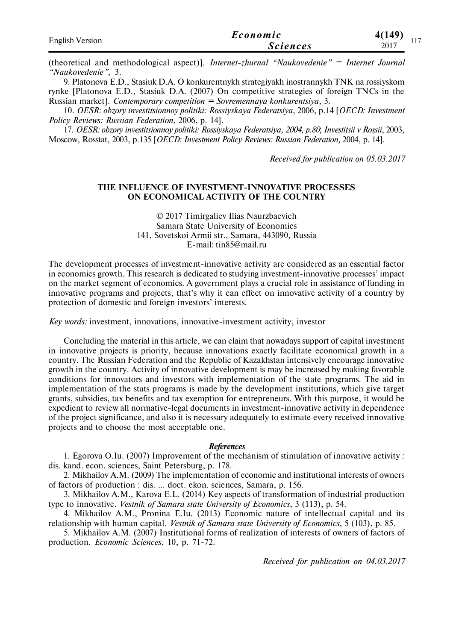| <b>English Version</b> | Economic        | 4(149) |
|------------------------|-----------------|--------|
|                        | <i>Sciences</i> | 2017   |

(theoretical and methodological aspect)]. *Internet-zhurnal "Naukovedenie" = Internet Journal "Naukovedenie"*, 3.

9. Platonova E.D., Stasiuk D.A. O konkurentnykh strategiyakh inostrannykh TNK na rossiyskom rynke [Platonova E.D., Stasiuk D.A. (2007) On competitive strategies of foreign TNCs in the Russian market]. *Contemporary competition = Sovremennaya konkurentsiya,* 3.

10. *OESR: obzory investitsionnoy politiki: Rossiyskaya Federatsiya*, 2006, p.14 [*OECD: Investment Policy Reviews: Russian Federation*, 2006, p. 14].

17. *OESR: obzory investitsionnoy politiki: Rossiyskaya Federatsiya, 2004, p.80*; *Investitsii v Rossii*, 2003, Moscow, Rosstat, 2003, p.135 [*OECD: Investment Policy Reviews: Russian Federation,* 2004, p. 14].

*Received for publication on 05.03.2017*

### **THE INFLUENCE OF INVESTMENT-INNOVATIVE PROCESSES ON ECONOMICAL ACTIVITY OF THE COUNTRY**

© 2017 Timirgaliev Ilias Naurzbaevich Samara State University of Economics 141, Sovetskoi Armii str., Samara, 443090, Russia E-mail: tin85@mail.ru

The development processes of investment-innovative activity are considered as an essential factor in economics growth. This research is dedicated to studying investment-innovative processes' impact on the market segment of economics. A government plays a crucial role in assistance of funding in innovative programs and projects, that's why it can effect on innovative activity of a country by protection of domestic and foreign investors' interests.

*Key words:* investment, innovations, innovative-investment activity, investor

Concluding the material in this article, we can claim that nowadays support of capital investment in innovative projects is priority, because innovations exactly facilitate economical growth in a country. The Russian Federation and the Republic of Kazakhstan intensively encourage innovative growth in the country. Activity of innovative development is may be increased by making favorable conditions for innovators and investors with implementation of the state programs. The aid in implementation of the stats programs is made by the development institutions, which give target grants, subsidies, tax benefits and tax exemption for entrepreneurs. With this purpose, it would be expedient to review all normative-legal documents in investment-innovative activity in dependence of the project significance, and also it is necessary adequately to estimate every received innovative projects and to choose the most acceptable one.

#### *References*

1. Egorova O.Iu. (2007) Improvement of the mechanism of stimulation of innovative activity : dis. kand. econ. sciences, Saint Petersburg, p. 178.

2. Mikhailov A.M. (2009) The implementation of economic and institutional interests of owners of factors of production : dis. … doct. ekon. sciences, Samara, p. 156.

3. Мikhailov А.М., Karova E.L. (2014) Key aspects of transformation of industrial production type to innovative. *Vestnik of Samara state University of Economics*, 3 (113), p. 54.

4. Мikhailov А.М., Pronina Е.Iu. (2013) Economic nature of intellectual capital and its relationship with human capital. *Vestnik of Samara state University of Economics*, 5 (103), p. 85.

5. Mikhailov A.M. (2007) Institutional forms of realization of interests of owners of factors of production. *Economic Sciences*, 10, p. 71-72.

*Received for publication on 04.03.2017*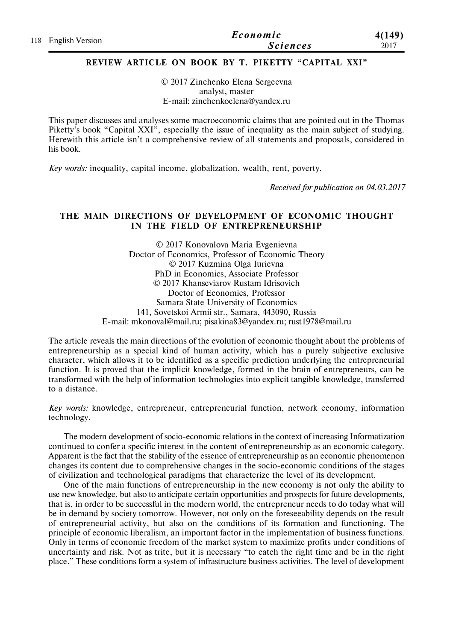| 118 English Version | Economic        | 4(149) |
|---------------------|-----------------|--------|
|                     | <b>Sciences</b> | 2017   |

# **REVIEW ARTICLE ON BOOK BY T. PIKETTY "CAPITAL XXI"**

© 2017 Zinchenko Elena Sergeevna analyst, master E-mail: zinchenkoelena@yandex.ru

This paper discusses and analyses some macroeconomic claims that are pointed out in the Thomas Piketty's book "Capital XXI", especially the issue of inequality as the main subject of studying. Herewith this article isn't a comprehensive review of all statements and proposals, considered in his book.

*Key words:* inequality, capital income, globalization, wealth, rent, poverty.

*Received for publication on 04.03.2017*

### **THE MAIN DIRECTIONS OF DEVELOPMENT OF ECONOMIC THOUGHT IN THE FIELD OF ENTREPRENEURSHIP**

© 2017 Konovalova Maria Evgenievna Doctor of Economics, Professor of Economic Theory © 2017 Kuzmina Olga Iurievna PhD in Economics, Associate Professor © 2017 Khanseviarov Rustam Idrisovich Doctor of Economics, Professor Samara State University of Economics 141, Sovetskoi Armii str., Samara, 443090, Russia E-mail: mkonoval@mail.ru; pisakina83@yandex.ru; rust1978@mail.ru

The article reveals the main directions of the evolution of economic thought about the problems of entrepreneurship as a special kind of human activity, which has a purely subjective exclusive character, which allows it to be identified as a specific prediction underlying the entrepreneurial function. It is proved that the implicit knowledge, formed in the brain of entrepreneurs, can be transformed with the help of information technologies into explicit tangible knowledge, transferred to a distance.

*Key words:* knowledge, entrepreneur, entrepreneurial function, network economy, information technology.

The modern development of socio-economic relations in the context of increasing Informatization continued to confer a specific interest in the content of entrepreneurship as an economic category. Apparent is the fact that the stability of the essence of entrepreneurship as an economic phenomenon changes its content due to comprehensive changes in the socio-economic conditions of the stages of civilization and technological paradigms that characterize the level of its development.

One of the main functions of entrepreneurship in the new economy is not only the ability to use new knowledge, but also to anticipate certain opportunities and prospects for future developments, that is, in order to be successful in the modern world, the entrepreneur needs to do today what will be in demand by society tomorrow. However, not only on the foreseeability depends on the result of entrepreneurial activity, but also on the conditions of its formation and functioning. The principle of economic liberalism, an important factor in the implementation of business functions. Only in terms of economic freedom of the market system to maximize profits under conditions of uncertainty and risk. Not as trite, but it is necessary "to catch the right time and be in the right place." These conditions form a system of infrastructure business activities. The level of development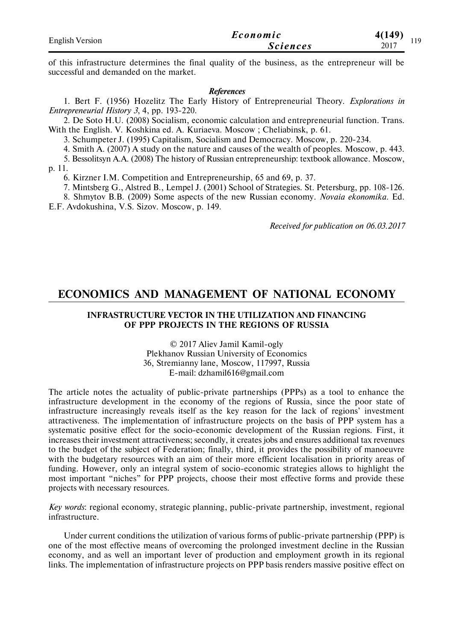| <b>English Version</b> | Economic        | 4(149)<br>110 |
|------------------------|-----------------|---------------|
|                        | <i>Sciences</i> | 2017          |

of this infrastructure determines the final quality of the business, as the entrepreneur will be successful and demanded on the market.

#### *References*

1. Bert F. (1956) Hozelitz The Early History of Entrepreneurial Theory. *Explorations in Entrepreneurial History 3*, 4, pp. 193-220.

2. De Soto H.U. (2008) Socialism, economic calculation and entrepreneurial function. Trans. With the English. V. Koshkina ed. A. Kuriaeva. Moscow ; Cheliabinsk, p. 61.

3. Schumpeter J. (1995) Capitalism, Socialism and Democracy. Moscow, p. 220-234.

4. Smith A. (2007) A study on the nature and causes of the wealth of peoples. Moscow, p. 443.

5. Bessolitsyn A.A. (2008) The history of Russian entrepreneurship: textbook allowance. Moscow, p. 11.

6. Kirzner I.M. Competition and Entrepreneurship, 65 and 69, p. 37.

7. Mintsberg G., Alstred B., Lempel J. (2001) School of Strategies. St. Petersburg, pp. 108-126.

8. Shmytov B.B. (2009) Some aspects of the new Russian economy. *Novaia ekonomika.* Ed. E.F. Avdokushina, V.S. Sizov. Moscow, p. 149.

*Received for publication on 06.03.2017*

# **ECONOMICS AND MANAGEMENT OF NATIONAL ECONOMY**

### **INFRASTRUCTURE VECTOR IN THE UTILIZATION AND FINANCING OF PPP PROJECTS IN THE REGIONS OF RUSSIA**

© 2017 Aliev Jamil Kamil-ogly Plekhanov Russian University of Economics 36, Stremianny lane, Moscow, 117997, Russia E-mail: dzhamil616@gmail.com

The article notes the actuality of public-private partnerships (PPPs) as a tool to enhance the infrastructure development in the economy of the regions of Russia, since the poor state of infrastructure increasingly reveals itself as the key reason for the lack of regions' investment attractiveness. The implementation of infrastructure projects on the basis of PPP system has a systematic positive effect for the socio-economic development of the Russian regions. First, it increases their investment attractiveness; secondly, it creates jobs and ensures additional tax revenues to the budget of the subject of Federation; finally, third, it provides the possibility of manoeuvre with the budgetary resources with an aim of their more efficient localisation in priority areas of funding. However, only an integral system of socio-economic strategies allows to highlight the most important "niches" for PPP projects, choose their most effective forms and provide these projects with necessary resources.

*Key words*: regional economy, strategic planning, public-private partnership, investment, regional infrastructure.

Under current conditions the utilization of various forms of public-private partnership (PPP) is one of the most effective means of overcoming the prolonged investment decline in the Russian economy, and as well an important lever of production and employment growth in its regional links. The implementation of infrastructure projects on PPP basis renders massive positive effect on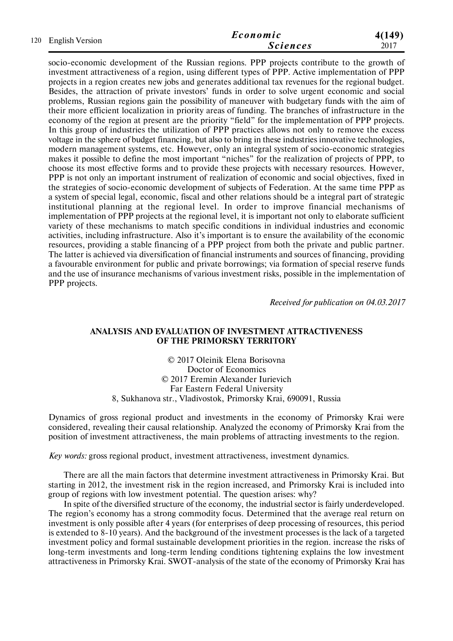| 120 English Version | Economic        | 4(149) |
|---------------------|-----------------|--------|
|                     | <i>Sciences</i> | 2017   |

socio-economic development of the Russian regions. PPP projects contribute to the growth of investment attractiveness of a region, using different types of PPP. Active implementation of PPP projects in a region creates new jobs and generates additional tax revenues for the regional budget. Besides, the attraction of private investors' funds in order to solve urgent economic and social problems, Russian regions gain the possibility of maneuver with budgetary funds with the aim of their more efficient localization in priority areas of funding. The branches of infrastructure in the economy of the region at present are the priority "field" for the implementation of PPP projects. In this group of industries the utilization of PPP practices allows not only to remove the excess voltage in the sphere of budget financing, but also to bring in these industries innovative technologies, modern management systems, etc. However, only an integral system of socio-economic strategies makes it possible to define the most important "niches" for the realization of projects of PPP, to choose its most effective forms and to provide these projects with necessary resources. However, PPP is not only an important instrument of realization of economic and social objectives, fixed in the strategies of socio-economic development of subjects of Federation. At the same time PPP as a system of special legal, economic, fiscal and other relations should be a integral part of strategic institutional planning at the regional level. In order to improve financial mechanisms of implementation of PPP projects at the regional level, it is important not only to elaborate sufficient variety of these mechanisms to match specific conditions in individual industries and economic activities, including infrastructure. Also it's important is to ensure the availability of the economic resources, providing a stable financing of a PPP project from both the private and public partner. The latter is achieved via diversification of financial instruments and sources of financing, providing a favourable environment for public and private borrowings; via formation of special reserve funds and the use of insurance mechanisms of various investment risks, possible in the implementation of PPP projects.

*Received for publication on 04.03.2017*

### **ANALYSIS AND EVALUATION OF INVESTMENT ATTRACTIVENESS OF THE PRIMORSKY TERRITORY**

© 2017 Oleinik Elena Borisovna Doctor of Economics © 2017 Eremin Alexander Iurievich Far Eastern Federal University 8, Sukhanova str., Vladivostok, Primorsky Krai, 690091, Russia

Dynamics of gross regional product and investments in the economy of Primorsky Krai were considered, revealing their causal relationship. Analyzed the economy of Primorsky Krai from the position of investment attractiveness, the main problems of attracting investments to the region.

*Key words:* gross regional product, investment attractiveness, investment dynamics.

There are all the main factors that determine investment attractiveness in Primorsky Krai. But starting in 2012, the investment risk in the region increased, and Primorsky Krai is included into group of regions with low investment potential. The question arises: why?

In spite of the diversified structure of the economy, the industrial sector is fairly underdeveloped. The region's economy has a strong commodity focus. Determined that the average real return on investment is only possible after 4 years (for enterprises of deep processing of resources, this period is extended to 8-10 years). And the background of the investment processes is the lack of a targeted investment policy and formal sustainable development priorities in the region. increase the risks of long-term investments and long-term lending conditions tightening explains the low investment attractiveness in Primorsky Krai. SWOT-analysis of the state of the economy of Primorsky Krai has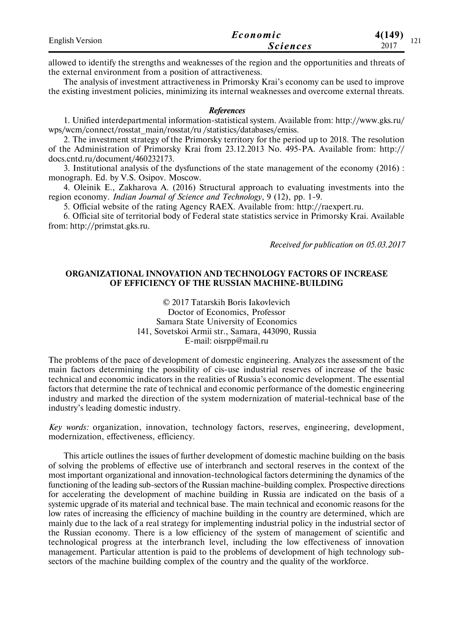| <b>English Version</b> | Economic        | 4(149)<br>$1^{\sim}1$ |
|------------------------|-----------------|-----------------------|
|                        | <i>Sciences</i> | 1/1<br>2017           |

allowed to identify the strengths and weaknesses of the region and the opportunities and threats of the external environment from a position of attractiveness.

The analysis of investment attractiveness in Primorsky Krai's economy can be used to improve the existing investment policies, minimizing its internal weaknesses and overcome external threats.

#### *References*

1. Unified interdepartmental information-statistical system. Available from: http://www.gks.ru/ wps/wcm/connect/rosstat\_main/rosstat/ru /statistics/databases/emiss.

2. The investment strategy of the Primorsky territory for the period up to 2018. The resolution of the Administration of Primorsky Krai from 23.12.2013 No. 495-PA. Available from: http:// docs.cntd.ru/document/460232173.

3. Institutional analysis of the dysfunctions of the state management of the economy (2016) : monograph. Ed. by V.S. Osipov. Moscow.

4. Oleinik E., Zakharova A. (2016) Structural approach to evaluating investments into the region economy. *Indian Journal of Science and Technology*, 9 (12), рр. 1-9.

5. Official website of the rating Agency RAEX. Available from: http://raexpert.ru.

6. Official site of territorial body of Federal state statistics service in Primorsky Krai. Available from: http://primstat.gks.ru.

*Received for publication on 05.03.2017*

### **ORGANIZATIONAL INNOVATION AND TECHNOLOGY FACTORS OF INCREASE OF EFFICIENCY OF THE RUSSIAN MACHINE-BUILDING**

© 2017 Tatarskih Boris Iakovlevich Doctor of Economics, Professor Samara State University of Economics 141, Sovetskoi Armii str., Samara, 443090, Russia Е-mail: oisrpp@mail.ru

The problems of the pace of development of domestic engineering. Analyzes the assessment of the main factors determining the possibility of cis-use industrial reserves of increase of the basic technical and economic indicators in the realities of Russia's economic development. The essential factors that determine the rate of technical and economic performance of the domestic engineering industry and marked the direction of the system modernization of material-technical base of the industry's leading domestic industry.

*Key words:* organization, innovation, technology factors, reserves, engineering, development, modernization, effectiveness, efficiency.

This article outlines the issues of further development of domestic machine building on the basis of solving the problems of effective use of interbranch and sectoral reserves in the context of the most important organizational and innovation-technological factors determining the dynamics of the functioning of the leading sub-sectors of the Russian machine-building complex. Prospective directions for accelerating the development of machine building in Russia are indicated on the basis of a systemic upgrade of its material and technical base. The main technical and economic reasons for the low rates of increasing the efficiency of machine building in the country are determined, which are mainly due to the lack of a real strategy for implementing industrial policy in the industrial sector of the Russian economy. There is a low efficiency of the system of management of scientific and technological progress at the interbranch level, including the low effectiveness of innovation management. Particular attention is paid to the problems of development of high technology subsectors of the machine building complex of the country and the quality of the workforce.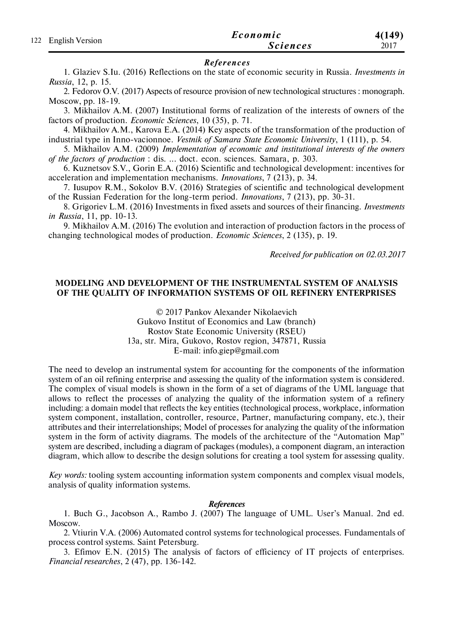|                     | Economic        | 4(149) |
|---------------------|-----------------|--------|
| 122 English Version | <b>Sciences</b> | 2017   |

### $References$

1. Glaziev S.Iu. (2016) Reflections on the state of economic security in Russia. *Investments in Russia*, 12, p. 15.

2. Fedorov O.V. (2017) Aspects of resource provision of new technological structures : monograph. Moscow, pp. 18-19.

3. Mikhailov A.M. (2007) Institutional forms of realization of the interests of owners of the factors of production. *Economic Sciences*, 10 (35), p. 71.

4. Mikhailov A.M., Karova E.A. (2014) Key aspects of the transformation of the production of industrial type in Inno-vacionnoe. *Vestnik of Samara State Economic University*, 1 (111), p. 54.

5. Mikhailov A.M. (2009) *Implementation of economic and institutional interests of the owners of the factors of production* : dis. ... doct. econ. sciences. Samara, p. 303.

6. Kuznetsov S.V., Gorin E.A. (2016) Scientific and technological development: incentives for acceleration and implementation mechanisms. *Innovations*, 7 (213), p. 34.

7. Iusupov R.M., Sokolov B.V. (2016) Strategies of scientific and technological development of the Russian Federation for the long-term period. *Innovations*, 7 (213), pp. 30-31.

8. Grigoriev L.M. (2016) Investments in fixed assets and sources of their financing. *Investments in Russia*, 11, pp. 10-13.

9. Mikhailov A.M. (2016) The evolution and interaction of production factors in the process of changing technological modes of production. *Economic Sciences*, 2 (135), p. 19.

*Received for publication on 02.03.2017*

### **MODELING AND DEVELOPMENT OF THE INSTRUMENTAL SYSTEM OF ANALYSIS OF THE QUALITY OF INFORMATION SYSTEMS OF OIL REFINERY ENTERPRISES**

© 2017 Pankov Alexander Nikolaevich Gukovo Institut of Economics and Law (branch) Rostov State Economic University (RSEU) 13a, str. Mira, Gukovo, Rostov region, 347871, Russia E-mail: info.giep@gmail.com

The need to develop an instrumental system for accounting for the components of the information system of an oil refining enterprise and assessing the quality of the information system is considered. The complex of visual models is shown in the form of a set of diagrams of the UML language that allows to reflect the processes of analyzing the quality of the information system of a refinery including: a domain model that reflects the key entities (technological process, workplace, information system component, installation, controller, resource, Partner, manufacturing company, etc.), their attributes and their interrelationships; Model of processes for analyzing the quality of the information system in the form of activity diagrams. The models of the architecture of the "Automation Map" system are described, including a diagram of packages (modules), a component diagram, an interaction diagram, which allow to describe the design solutions for creating a tool system for assessing quality.

*Key words:* tooling system accounting information system components and complex visual models, analysis of quality information systems.

#### *References*

1. Buch G., Jacobson A., Rambo J. (2007) The language of UML. User's Manual. 2nd ed. Moscow.

2. Vtiurin V.A. (2006) Automated control systems for technological processes. Fundamentals of process control systems. Saint Petersburg.

3. Efimov E.N. (2015) The analysis of factors of efficiency of IT projects of enterprises. *Financial researches*, 2 (47), pp. 136-142.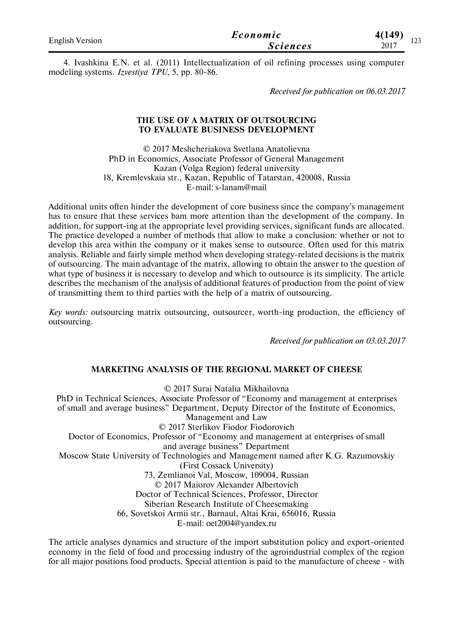| <b>English Version</b> | Economic        | 4(149)<br>$\sim$ |
|------------------------|-----------------|------------------|
|                        | <i>Sciences</i> | $1 - 1$<br>2017  |

4. Ivashkina E.N. et al. (2011) Intellectualization of oil refining processes using computer modeling systems. *Izvestiya TPU*, 5, pp. 80-86.

*Received for publication on 06.03.2017*

### **THE USE OF A MATRIX OF OUTSOURCING TO EVALUATE BUSINESS DEVELOPMENT**

© 2017 Meshcheriakova Svetlana Anatolievna PhD in Economics, Associate Professor of General Management Kazan (Volga Region) federal university 18, Kremlevskaia str., Kazan, Republic of Tatarstan, 420008, Russia E-mail: s-lanam@mail

Additional units often hinder the development of core business since the company's management has to ensure that these services bam more attention than the development of the company. In addition, for support-ing at the appropriate level providing services, significant funds are allocated. The practice developed a number of methods that allow to make a conclusion: whether or not to develop this area within the company or it makes sense to outsource. Often used for this matrix analysis. Reliable and fairly simple method when developing strategy-related decisions is the matrix of outsourcing. The main advantage of the matrix, allowing to obtain the answer to the question of what type of business it is necessary to develop and which to outsource is its simplicity. The article describes the mechanism of the analysis of additional features of production from the point of view of transmitting them to third parties with the help of a matrix of outsourcing.

*Key words:* outsourcing matrix outsourcing, outsourcer, worth-ing production, the efficiency of outsourcing.

*Received for publication on 03.03.2017*

### **MARKETING ANALYSIS OF THE REGIONAL MARKET OF CHEESE**

© 2017 Surai Natalia Mikhailovna

PhD in Technical Sciences, Associate Professor of "Economy and management at enterprises of small and average business" Department, Deputy Director of the Institute of Economics, Management and Law © 2017 Sterlikov Fiodor Fiodorovich Doctor of Economics, Professor of "Economy and management at enterprises of small and average business" Department Moscow State University of Technologies and Management named after K.G. Razumovskiy (First Cossack University) 73, Zemlianoi Val, Moscow, 109004, Russian © 2017 Maiorov Alexander Albertovich Doctor of Technical Sciences, Professor, Director Siberian Research Institute of Cheesemaking 66, Sovetskoi Armii str., Barnaul, Altai Krai, 656016, Russia

E-mail: oet2004@yandex.ru

The article analyses dynamics and structure of the import substitution policy and export-oriented economy in the field of food and processing industry of the agroindustrial complex of the region for all major positions food products. Special attention is paid to the manufacture of cheese - with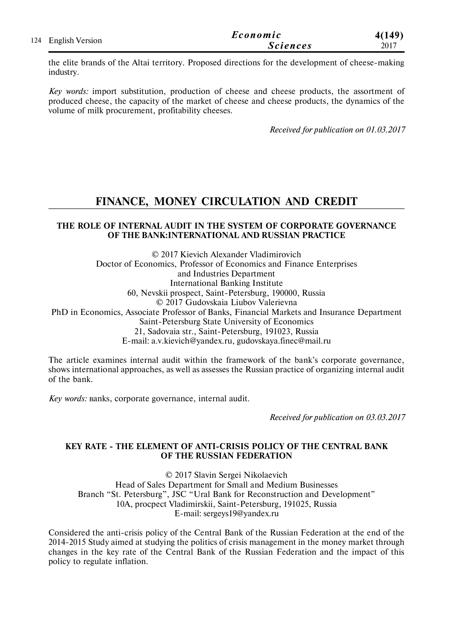| 124 English Version | Economic        | 4(149) |
|---------------------|-----------------|--------|
|                     | <b>Sciences</b> | 2017   |

the elite brands of the Altai territory. Proposed directions for the development of cheese-making industry.

*Key words:* import substitution, production of cheese and cheese products, the assortment of produced cheese, the capacity of the market of cheese and cheese products, the dynamics of the volume of milk procurement, profitability cheeses.

*Received for publication on 01.03.2017*

# **FINANCE, MONEY CIRCULATION AND CREDIT**

### **THE ROLE OF INTERNAL AUDIT IN THE SYSTEM OF CORPORATE GOVERNANCE OF THE BANK:INTERNATIONAL AND RUSSIAN PRACTICE**

© 2017 Kievich Alexander Vladimirovich Doctor of Economics, Professor of Economics and Finance Enterprises and Industries Department International Banking Institute 60, Nevskii prospect, Saint-Petersburg, 190000, Russia © 2017 Gudovskaia Liubov Valerievna PhD in Economics, Associate Professor of Banks, Financial Markets and Insurance Department Saint-Petersburg State University of Economics 21, Sadovaia str., Saint-Petersburg, 191023, Russia E-mail: a.v.kievich@yandex.ru, gudovskaya.finec@mail.ru

The article examines internal audit within the framework of the bank's corporate governance, shows international approaches, as well as assesses the Russian practice of organizing internal audit of the bank.

*Key words:* вanks, corporate governance, internal audit.

*Received for publication on 03.03.2017*

## **KEY RATE - THE ELEMENT OF ANTI-CRISIS POLICY OF THE CENTRAL BANK OF THE RUSSIAN FEDERATION**

© 2017 Slavin Sergei Nikolaevich Head of Sales Department for Small and Medium Businesses Branch "St. Petersburg", JSC "Ural Bank for Reconstruction and Development" 10A, procpect Vladimirskii, Saint-Petersburg, 191025, Russia E-mail: sergeys19@yandex.ru

Considered the anti-crisis policy of the Central Bank of the Russian Federation at the end of the 2014-2015 Study aimed at studying the politics of crisis management in the money market through changes in the key rate of the Central Bank of the Russian Federation and the impact of this policy to regulate inflation.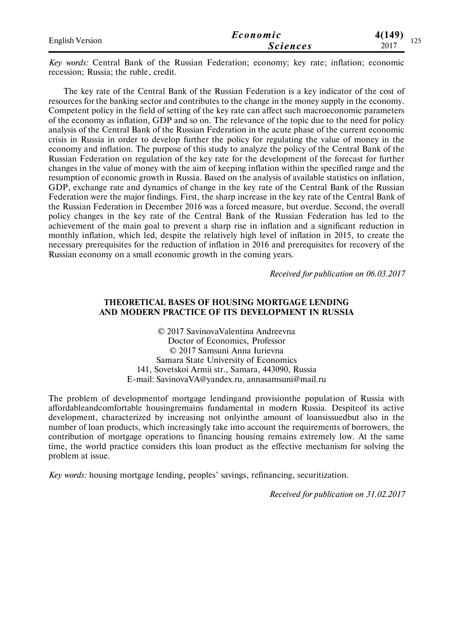| <b>English Version</b> | Economic        | 4(149)<br>$1 \cap \mathcal{E}$ |
|------------------------|-----------------|--------------------------------|
|                        | <i>Sciences</i> | $1 - 1$<br>2017                |

*Key words:* Central Bank of the Russian Federation; economy; key rate; inflation; economic recession; Russia; the ruble, credit.

The key rate of the Central Bank of the Russian Federation is a key indicator of the cost of resources for the banking sector and contributes to the change in the money supply in the economy. Competent policy in the field of setting of the key rate can affect such macroeconomic parameters of the economy as inflation, GDP and so on. The relevance of the topic due to the need for policy analysis of the Central Bank of the Russian Federation in the acute phase of the current economic crisis in Russia in order to develop further the policy for regulating the value of money in the economy and inflation. The purpose of this study to analyze the policy of the Central Bank of the Russian Federation on regulation of the key rate for the development of the forecast for further changes in the value of money with the aim of keeping inflation within the specified range and the resumption of economic growth in Russia. Based on the analysis of available statistics on inflation, GDP, exchange rate and dynamics of change in the key rate of the Central Bank of the Russian Federation were the major findings. First, the sharp increase in the key rate of the Central Bank of the Russian Federation in December 2016 was a forced measure, but overdue. Second, the overall policy changes in the key rate of the Central Bank of the Russian Federation has led to the achievement of the main goal to prevent a sharp rise in inflation and a significant reduction in monthly inflation, which led, despite the relatively high level of inflation in 2015, to create the necessary prerequisites for the reduction of inflation in 2016 and prerequisites for recovery of the Russian economy on a small economic growth in the coming years.

*Received for publication on 06.03.2017*

### **THEORETICAL BASES OF HOUSING MORTGAGE LENDING AND MODERN PRACTICE OF ITS DEVELOPMENT IN RUSSIA**

© 2017 SavinovaValentina Andreevna Doctor of Economics, Professor © 2017 Samsuni Anna Iurievna Samara State University of Economics 141, Sovetskoi Armii str., Samara, 443090, Russia E-mail: SavinovaVA@yandex.ru, annasamsuni@mail.ru

The problem of developmentof mortgage lendingand provisionthe population of Russia with affordableandcomfortable housingremains fundamental in modern Russia. Despiteof its active development, characterized by increasing not onlyinthe amount of loansissuedbut also in the number of loan products, which increasingly take into account the requirements of borrowers, the contribution of mortgage operations to financing housing remains extremely low. At the same time, the world practice considers this loan product as the effective mechanism for solving the problem at issue.

*Key words:* housing mortgage lending, peoples' savings, refinancing, securitization.

*Received for publication on 31.02.2017*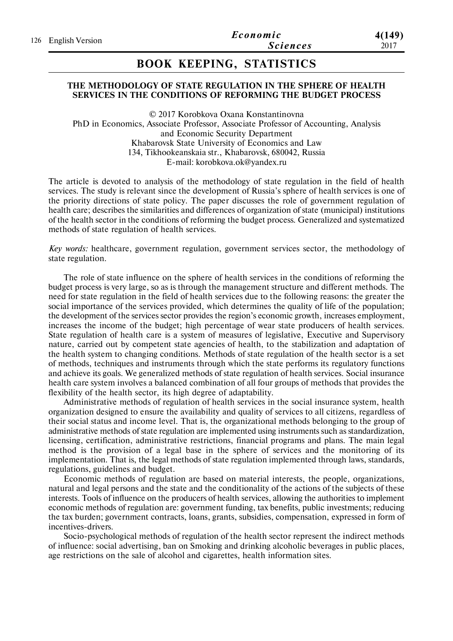# **BOOK KEEPING, STATISTICS**

### **THE METHODOLOGY OF STATE REGULATION IN THE SPHERE OF HEALTH SERVICES IN THE CONDITIONS OF REFORMING THE BUDGET PROCESS**

© 2017 Korobkova Oxana Konstantinovna PhD in Economics, Associate Professor, Associate Professor of Accounting, Analysis and Economic Security Department Khabarovsk State University of Economics and Law 134, Tikhookeanskaia str., Khabarovsk, 680042, Russia E-mail: korobkova.ok@yandex.ru

The article is devoted to analysis of the methodology of state regulation in the field of health services. The study is relevant since the development of Russia's sphere of health services is one of the priority directions of state policy. The paper discusses the role of government regulation of health care; describes the similarities and differences of organization of state (municipal) institutions of the health sector in the conditions of reforming the budget process. Generalized and systematized methods of state regulation of health services.

*Key words:* healthcare, government regulation, government services sector, the methodology of state regulation.

The role of state influence on the sphere of health services in the conditions of reforming the budget process is very large, so as is through the management structure and different methods. The need for state regulation in the field of health services due to the following reasons: the greater the social importance of the services provided, which determines the quality of life of the population; the development of the services sector provides the region's economic growth, increases employment, increases the income of the budget; high percentage of wear state producers of health services. State regulation of health care is a system of measures of legislative, Executive and Supervisory nature, carried out by competent state agencies of health, to the stabilization and adaptation of the health system to changing conditions. Methods of state regulation of the health sector is a set of methods, techniques and instruments through which the state performs its regulatory functions and achieve its goals. We generalized methods of state regulation of health services. Social insurance health care system involves a balanced combination of all four groups of methods that provides the flexibility of the health sector, its high degree of adaptability.

Administrative methods of regulation of health services in the social insurance system, health organization designed to ensure the availability and quality of services to all citizens, regardless of their social status and income level. That is, the organizational methods belonging to the group of administrative methods of state regulation are implemented using instruments such as standardization, licensing, certification, administrative restrictions, financial programs and plans. The main legal method is the provision of a legal base in the sphere of services and the monitoring of its implementation. That is, the legal methods of state regulation implemented through laws, standards, regulations, guidelines and budget.

Economic methods of regulation are based on material interests, the people, organizations, natural and legal persons and the state and the conditionality of the actions of the subjects of these interests. Tools of influence on the producers of health services, allowing the authorities to implement economic methods of regulation are: government funding, tax benefits, public investments; reducing the tax burden; government contracts, loans, grants, subsidies, compensation, expressed in form of incentives-drivers.

Socio-psychological methods of regulation of the health sector represent the indirect methods of influence: social advertising, ban on Smoking and drinking alcoholic beverages in public places, age restrictions on the sale of alcohol and cigarettes, health information sites.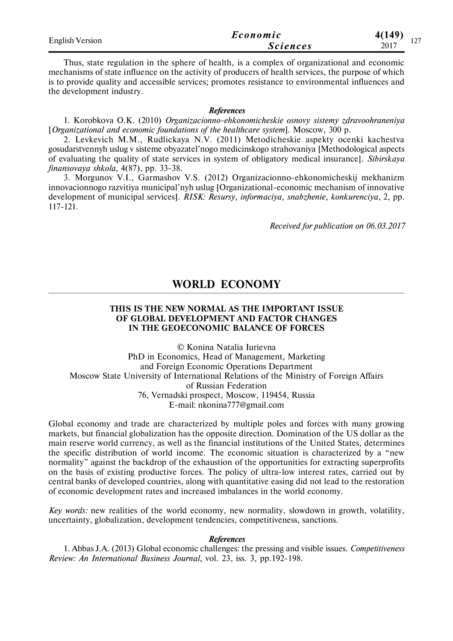| <b>English Version</b> | Economic        | 4(149)<br>$\sim$ $\sim$ $\sim$ |
|------------------------|-----------------|--------------------------------|
|                        | <i>Sciences</i> | 2017<br>. <i>. .</i>           |

Thus, state regulation in the sphere of health, is a complex of organizational and economic mechanisms of state influence on the activity of producers of health services, the purpose of which is to provide quality and accessible services; promotes resistance to environmental influences and the development industry.

#### *References*

1. Korobkova O.K. (2010) *Organizacionno-ehkonomicheskie osnovy sistemy zdravoohraneniya* [*Organizational and economic foundations of the healthcare system*]. Moscow, 300 p.

2. Levkevich M.M., Rudlickaya N.V. (2011) Metodicheskie aspekty ocenki kachestva gosudarstvennyh uslug v sisteme obyazatel'nogo medicinskogo strahovaniya [Methodological aspects of evaluating the quality of state services in system of obligatory medical insurance]. *Sibirskaya finansovaya shkola*, 4(87), pp. 33-38.

3. Morgunov V.I., Garmashov V.S. (2012) Organizacionno-ehkonomicheskij mekhanizm innovacionnogo razvitiya municipal'nyh uslug [Organizational-economic mechanism of innovative development of municipal services]. *RISK: Resursy, informaciya, snabzhenie, konkurenciya*, 2, pp. 117-121.

*Received for publication on 06.03.2017*

## **WORLD ECONOMY**

### **THIS IS THE NEW NORMAL AS THE IMPORTANT ISSUE OF GLOBAL DEVELOPMENT AND FACTOR CHANGES IN THE GEOECONOMIC BALANCE OF FORCES**

© Konina Natalia Iurievna PhD in Economics, Head of Management, Marketing and Foreign Economic Operations Department Moscow State University of International Relations of the Ministry of Foreign Affairs of Russian Federation 76, Vernadski prospect, Moscow, 119454, Russia E-mail: nkonina777@gmail.com

Global economy and trade are characterized by multiple poles and forces with many growing markets, but financial globalization has the opposite direction. Domination of the US dollar as the main reserve world currency, as well as the financial institutions of the United States, determines the specific distribution of world income. The economic situation is characterized by a "new normality" against the backdrop of the exhaustion of the opportunities for extracting superprofits on the basis of existing productive forces. The policy of ultra-low interest rates, carried out by central banks of developed countries, along with quantitative easing did not lead to the restoration of economic development rates and increased imbalances in the world economy.

*Key words:* new realities of the world economy, new normality, slowdown in growth, volatility, uncertainty, globalization, development tendencies, competitiveness, sanctions.

### *References*

1. Abbas J.A. (2013) Global economic challenges: the pressing and visible issues. *Competitiveness Review: An International Business Journal*, vol. 23, iss. 3, pp.192-198.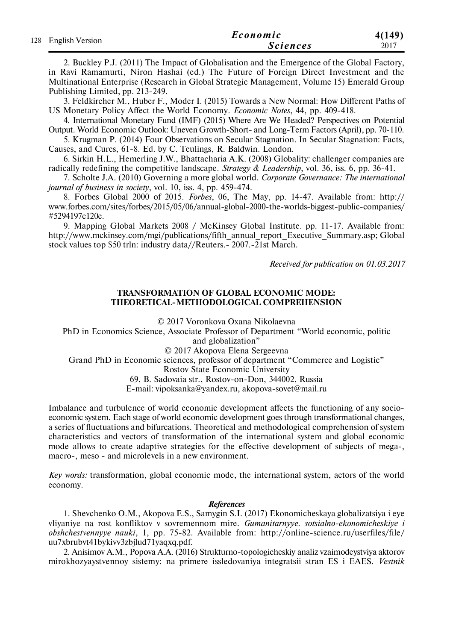| 128 English Version | Economic        | 4(149) |
|---------------------|-----------------|--------|
|                     | <b>Sciences</b> | 2017   |

2. Buckley P.J. (2011) The Impact of Globalisation and the Emergence of the Global Factory, in Ravi Ramamurti, Niron Hashai (ed.) The Future of Foreign Direct Investment and the Multinational Enterprise (Research in Global Strategic Management, Volume 15) Emerald Group Publishing Limited, pp. 213-249.

3. Feldkircher M., Huber F., Moder I. (2015) Towards a New Normal: How Different Paths of US Monetary Policy Affect the World Economy. *Economic Notes*, 44, рр. 409-418.

4. International Monetary Fund (IMF) (2015) Where Are We Headed? Perspectives on Potential Output. World Economic Outlook: Uneven Growth-Short- and Long-Term Factors (April), рр. 70-110.

5. Krugman P. (2014) Four Observations on Secular Stagnation. In Secular Stagnation: Facts, Causes, and Cures, 61-8. Ed. by C. Teulings, R. Baldwin. London.

6. Sirkin H.L., Hemerling J.W., Bhattacharia A.K. (2008) Globality: challenger companies are radically redefining the competitive landscape. *Strategy & Leadership*, vol. 36, iss. 6, pp. 36-41.

7. Scholte J.A. (2010) Governing a more global world. *Corporate Governance: The international journal of business in society*, vol. 10, iss. 4, pp. 459-474.

8. Forbes Global 2000 of 2015. *Forbes*, 06, The May, pp. 14-47. Available from: http:// www.forbes.com/sites/forbes/2015/05/06/annual-global-2000-the-worlds-biggest-public-companies/ #5294197c120e.

9. Mapping Global Markets 2008 / McKinsey Global Institute. pp. 11-17. Available from: http://www.mckinsey.com/mgi/publications/fifth\_annual\_report\_Executive\_Summary.asp; Global stock values top \$50 trln: industry data//Reuters.- 2007.-21st March.

*Received for publication on 01.03.2017*

### **TRANSFORMATION OF GLOBAL ECONOMIC MODE: THEORETICAL-METHODOLOGICAL COMPREHENSION**

© 2017 Voronkova Oxana Nikolaevna

PhD in Economics Science, Associate Professor of Department "World economic, politic and globalization"

© 2017 Akopova Elena Sergeevna

Grand PhD in Economic sciences, professor of department "Commerce and Logistic"

Rostov State Economic University

69, B. Sadovaia str., Rostov-on-Don, 344002, Russia

E-mail: vipoksanka@yandex.ru, akopova-sovet@mail.ru

Imbalance and turbulence of world economic development affects the functioning of any socioeconomic system. Each stage of world economic development goes through transformational changes, a series of fluctuations and bifurcations. Theoretical and methodological comprehension of system characteristics and vectors of transformation of the international system and global economic mode allows to create adaptive strategies for the effective development of subjects of mega-, macro-, meso - and microlevels in a new environment.

*Key words:* transformation, global economic mode, the international system, actors of the world economy.

#### *References*

1. Shevchenko O.M., Akopova E.S., Samygin S.I. (2017) Ekonomicheskaya globalizatsiya i eye vliyaniye na rost konfliktov v sovremennom mire. *Gumanitarnyye. sotsialno-ekonomicheskiye i obshchestvennyye nauki*, 1, рр. 75-82. Available from: http://online-science.ru/userfiles/file/ uu7xbrubvt41bykivv3zbjlud71yaqxq.pdf.

2. Anisimov A.M., Popova A.A. (2016) Strukturno-topologicheskiy analiz vzaimodeystviya aktorov mirokhozyaystvennoy sistemy: na primere issledovaniya integratsii stran ES i EAES. *Vestnik*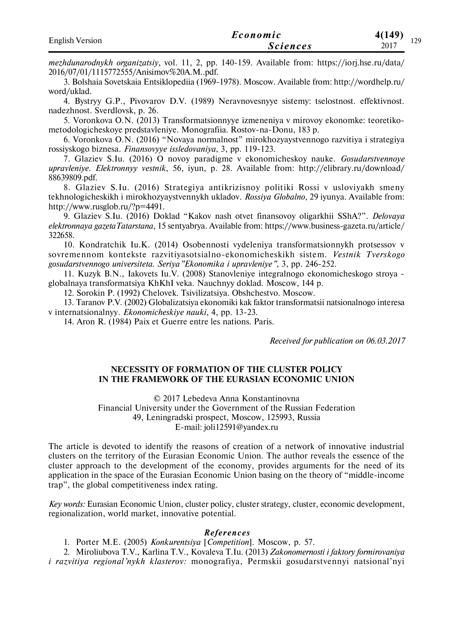| <b>English Version</b> | Economic        | 4(149)<br>170 |
|------------------------|-----------------|---------------|
|                        | <b>Sciences</b> | 14)<br>2017   |

*mezhdunarodnykh organizatsiy*, vol. 11, 2, рр. 140-159. Available from: https://iorj.hse.ru/data/ 2016/07/01/1115772555/Anisimov%20A.M..pdf.

3. Bolshaia Sovetskaia Entsiklopediia (1969-1978). Moscow. Available from: http://wordhelp.ru/ word/uklad.

4. Bystryy G.P., Pivovarov D.V. (1989) Neravnovesnyye sistemy: tselostnost. effektivnost. nadezhnost. Sverdlovsk, p. 26.

5. Voronkova O.N. (2013) Transformatsionnyye izmeneniya v mirovoy ekonomke: teoretikometodologicheskoye predstavleniye. Monografiia. Rostov-na-Donu, 183 p.

6. Voronkova O.N. (2016) "Novaya normalnost" mirokhozyaystvennogo razvitiya i strategiya rossiyskogo biznesa. *Finansovyye issledovaniya*, 3, pp. 119-123.

7. Glaziev S.Iu. (2016) O novoy paradigme v ekonomicheskoy nauke. *Gosudarstvennoye upravleniye. Elektronnyy vestnik*, 56, iyun, p. 28. Available from: http://elibrary.ru/download/ 88639809.pdf.

8. Glaziev S.Iu. (2016) Strategiya antikrizisnoy politiki Rossi v usloviyakh smeny tekhnologicheskikh i mirokhozyaystvennykh ukladov. *Rossiya Globalno*, 29 iyunya. Available from: http://www.rusglob.ru/?p=4491.

9. Glaziev S.Iu. (2016) Doklad "Kakov nash otvet finansovoy oligarkhii SShA?". *Delovaya elektronnaya gazetaTatarstana*, 15 sentyabrya. Available from: https://www.business-gazeta.ru/article/ 322658.

10. Kondratchik Iu.K. (2014) Osobennosti vydeleniya transformatsionnykh protsessov v sovremennom kontekste razvitiyasotsialno-ekonomicheskikh sistem. *Vestnik Tverskogo gosudarstvennogo universiteta. Seriya"Ekonomika i upravleniye"*, 3, pp. 246-252.

11. Kuzyk B.N., Iakovets Iu.V. (2008) Stanovleniye integralnogo ekonomicheskogo stroya globalnaya transformatsiya KhKhI veka. Nauchnyy doklad. Moscow, 144 p.

12. Sorokin P. (1992) Chelovek. Tsivilizatsiya. Obshchestvo. Moscow.

13. Taranov P.V. (2002) Globalizatsiya ekonomiki kak faktor transformatsii natsionalnogo interesa v internatsionalnyy. *Ekonomicheskiye nauki*, 4, pp. 13-23.

14. Aron R. (1984) Paix et Guerre entre les nations. Paris.

*Received for publication on 06.03.2017*

### **NECESSITY OF FORMATION OF THE CLUSTER POLICY IN THE FRAMEWORK OF THE EURASIAN ECONOMIC UNION**

© 2017 Lebedeva Anna Konstantinovna Financial University under the Government of the Russian Federation 49, Leningradski prospect, Moscow, 125993, Russia E-mail: joli12591@yandex.ru

The article is devoted to identify the reasons of creation of a network of innovative industrial clusters on the territory of the Eurasian Economic Union. The author reveals the essence of the cluster approach to the development of the economy, provides arguments for the need of its application in the space of the Eurasian Economic Union basing on the theory of "middle-income trap", the global competitiveness index rating.

*Key words:* Eurasian Economic Union, cluster policy, cluster strategy, cluster, economic development, regionalization, world market, innovative potential.

### *Re f eren ce s*

1. Porter M.E. (2005) *Konkurentsiya* [*Competition*]. Moscow, p. 57.

2. Miroliubova T.V., Karlina Т.V., Kovaleva T.Iu. (2013) *Zakonomernosti i faktory formirovaniya i razvitiya regional'nykh klasterov:* monografiya, Permskii gosudarstvennyi natsional'nyi